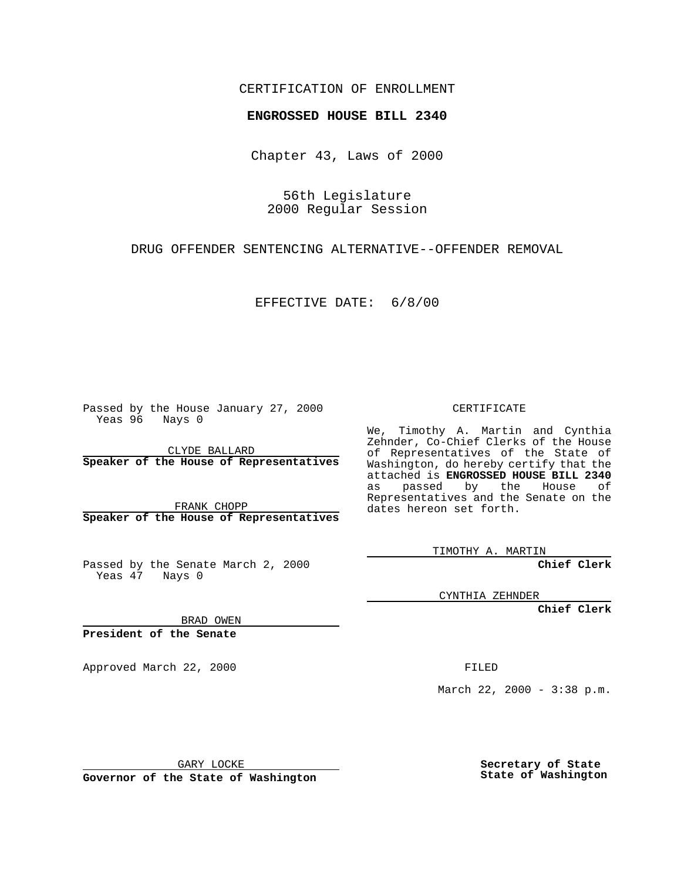## CERTIFICATION OF ENROLLMENT

## **ENGROSSED HOUSE BILL 2340**

Chapter 43, Laws of 2000

56th Legislature 2000 Regular Session

DRUG OFFENDER SENTENCING ALTERNATIVE--OFFENDER REMOVAL

EFFECTIVE DATE: 6/8/00

Passed by the House January 27, 2000 Yeas 96 Nays 0

CLYDE BALLARD **Speaker of the House of Representatives**

FRANK CHOPP **Speaker of the House of Representatives**

Passed by the Senate March 2, 2000 Yeas 47 Nays 0

CERTIFICATE

We, Timothy A. Martin and Cynthia Zehnder, Co-Chief Clerks of the House of Representatives of the State of Washington, do hereby certify that the attached is **ENGROSSED HOUSE BILL 2340** as passed by the House of Representatives and the Senate on the dates hereon set forth.

TIMOTHY A. MARTIN

**Chief Clerk**

CYNTHIA ZEHNDER

**Chief Clerk**

BRAD OWEN

**President of the Senate**

Approved March 22, 2000 FILED

March 22, 2000 - 3:38 p.m.

GARY LOCKE

**Governor of the State of Washington**

**Secretary of State State of Washington**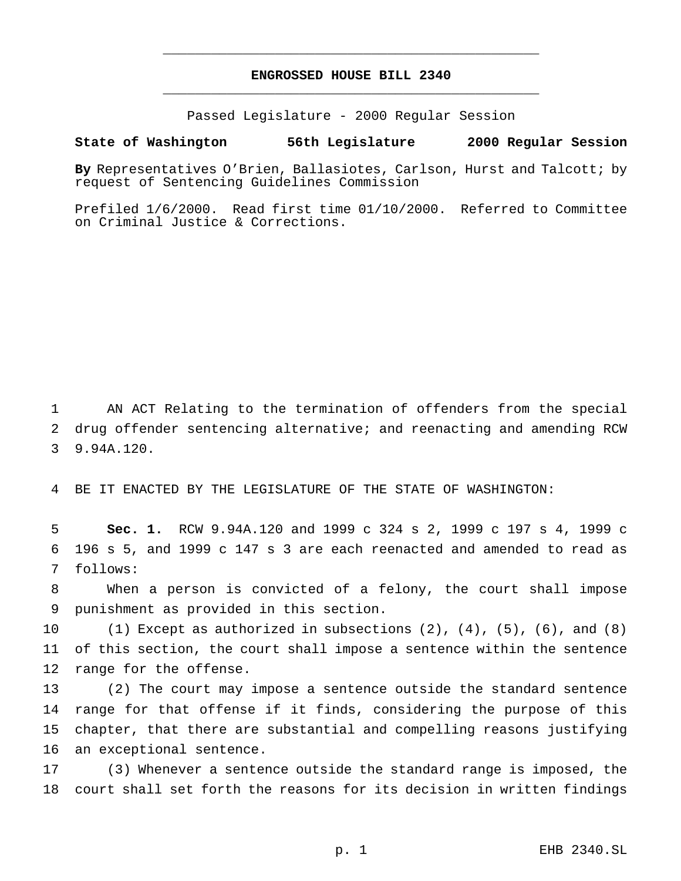## **ENGROSSED HOUSE BILL 2340** \_\_\_\_\_\_\_\_\_\_\_\_\_\_\_\_\_\_\_\_\_\_\_\_\_\_\_\_\_\_\_\_\_\_\_\_\_\_\_\_\_\_\_\_\_\_\_

\_\_\_\_\_\_\_\_\_\_\_\_\_\_\_\_\_\_\_\_\_\_\_\_\_\_\_\_\_\_\_\_\_\_\_\_\_\_\_\_\_\_\_\_\_\_\_

Passed Legislature - 2000 Regular Session

## **State of Washington 56th Legislature 2000 Regular Session**

**By** Representatives O'Brien, Ballasiotes, Carlson, Hurst and Talcott; by request of Sentencing Guidelines Commission

Prefiled 1/6/2000. Read first time 01/10/2000. Referred to Committee on Criminal Justice & Corrections.

 AN ACT Relating to the termination of offenders from the special drug offender sentencing alternative; and reenacting and amending RCW 9.94A.120.

BE IT ENACTED BY THE LEGISLATURE OF THE STATE OF WASHINGTON:

 **Sec. 1.** RCW 9.94A.120 and 1999 c 324 s 2, 1999 c 197 s 4, 1999 c 196 s 5, and 1999 c 147 s 3 are each reenacted and amended to read as follows:

 When a person is convicted of a felony, the court shall impose punishment as provided in this section.

10 (1) Except as authorized in subsections  $(2)$ ,  $(4)$ ,  $(5)$ ,  $(6)$ , and  $(8)$  of this section, the court shall impose a sentence within the sentence range for the offense.

 (2) The court may impose a sentence outside the standard sentence range for that offense if it finds, considering the purpose of this chapter, that there are substantial and compelling reasons justifying an exceptional sentence.

 (3) Whenever a sentence outside the standard range is imposed, the court shall set forth the reasons for its decision in written findings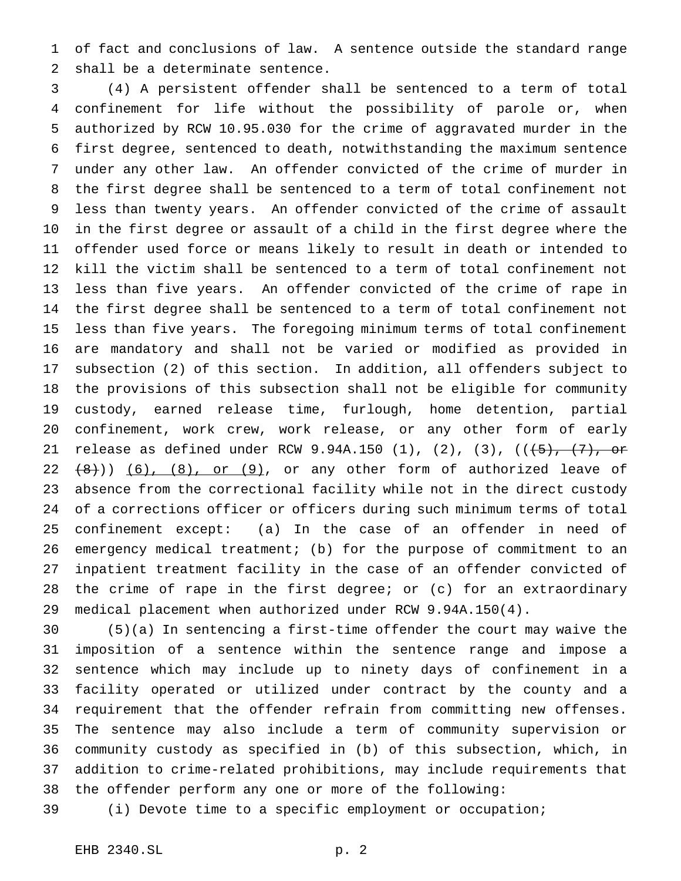of fact and conclusions of law. A sentence outside the standard range shall be a determinate sentence.

 (4) A persistent offender shall be sentenced to a term of total confinement for life without the possibility of parole or, when authorized by RCW 10.95.030 for the crime of aggravated murder in the first degree, sentenced to death, notwithstanding the maximum sentence under any other law. An offender convicted of the crime of murder in the first degree shall be sentenced to a term of total confinement not less than twenty years. An offender convicted of the crime of assault in the first degree or assault of a child in the first degree where the offender used force or means likely to result in death or intended to kill the victim shall be sentenced to a term of total confinement not less than five years. An offender convicted of the crime of rape in the first degree shall be sentenced to a term of total confinement not less than five years. The foregoing minimum terms of total confinement are mandatory and shall not be varied or modified as provided in subsection (2) of this section. In addition, all offenders subject to the provisions of this subsection shall not be eligible for community custody, earned release time, furlough, home detention, partial confinement, work crew, work release, or any other form of early 21 release as defined under RCW 9.94A.150 (1), (2), (3),  $((+5)$ ,  $(7)$ , or  $22 + (8)$ ))  $(6)$ ,  $(8)$ , or  $(9)$ , or any other form of authorized leave of absence from the correctional facility while not in the direct custody of a corrections officer or officers during such minimum terms of total confinement except: (a) In the case of an offender in need of emergency medical treatment; (b) for the purpose of commitment to an inpatient treatment facility in the case of an offender convicted of the crime of rape in the first degree; or (c) for an extraordinary medical placement when authorized under RCW 9.94A.150(4).

 (5)(a) In sentencing a first-time offender the court may waive the imposition of a sentence within the sentence range and impose a sentence which may include up to ninety days of confinement in a facility operated or utilized under contract by the county and a requirement that the offender refrain from committing new offenses. The sentence may also include a term of community supervision or community custody as specified in (b) of this subsection, which, in addition to crime-related prohibitions, may include requirements that the offender perform any one or more of the following:

(i) Devote time to a specific employment or occupation;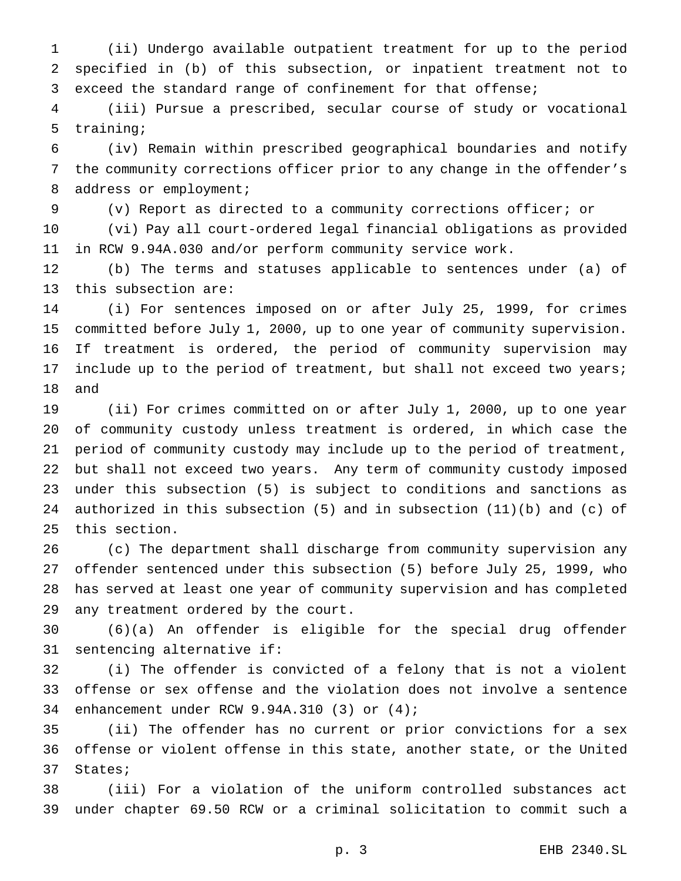(ii) Undergo available outpatient treatment for up to the period specified in (b) of this subsection, or inpatient treatment not to exceed the standard range of confinement for that offense;

 (iii) Pursue a prescribed, secular course of study or vocational training;

 (iv) Remain within prescribed geographical boundaries and notify the community corrections officer prior to any change in the offender's 8 address or employment;

(v) Report as directed to a community corrections officer; or

 (vi) Pay all court-ordered legal financial obligations as provided in RCW 9.94A.030 and/or perform community service work.

 (b) The terms and statuses applicable to sentences under (a) of this subsection are:

 (i) For sentences imposed on or after July 25, 1999, for crimes committed before July 1, 2000, up to one year of community supervision. If treatment is ordered, the period of community supervision may 17 include up to the period of treatment, but shall not exceed two years; and

 (ii) For crimes committed on or after July 1, 2000, up to one year of community custody unless treatment is ordered, in which case the period of community custody may include up to the period of treatment, but shall not exceed two years. Any term of community custody imposed under this subsection (5) is subject to conditions and sanctions as authorized in this subsection (5) and in subsection (11)(b) and (c) of this section.

 (c) The department shall discharge from community supervision any offender sentenced under this subsection (5) before July 25, 1999, who has served at least one year of community supervision and has completed any treatment ordered by the court.

 (6)(a) An offender is eligible for the special drug offender sentencing alternative if:

 (i) The offender is convicted of a felony that is not a violent offense or sex offense and the violation does not involve a sentence enhancement under RCW 9.94A.310 (3) or (4);

 (ii) The offender has no current or prior convictions for a sex offense or violent offense in this state, another state, or the United States;

 (iii) For a violation of the uniform controlled substances act under chapter 69.50 RCW or a criminal solicitation to commit such a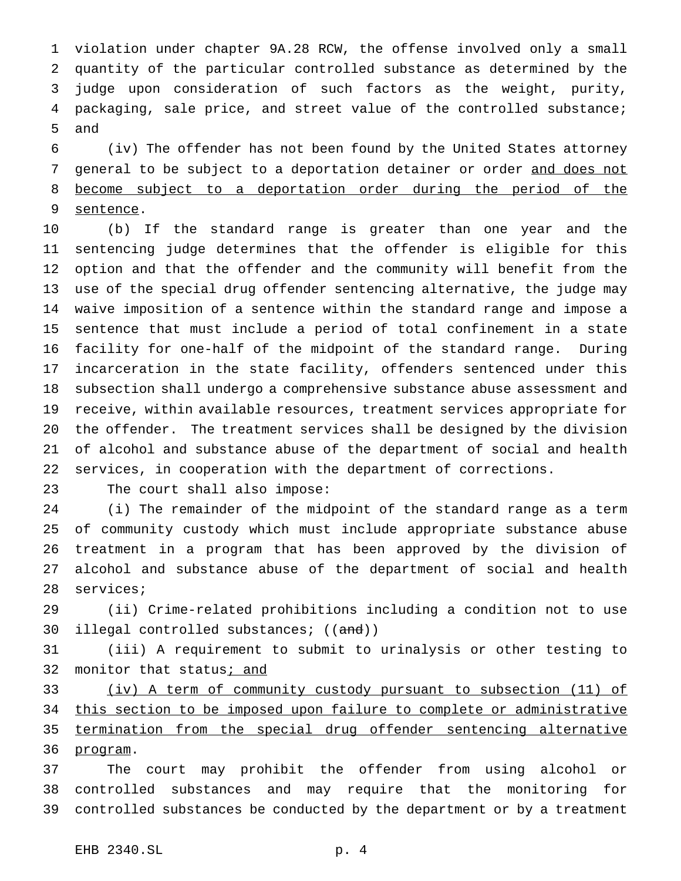violation under chapter 9A.28 RCW, the offense involved only a small quantity of the particular controlled substance as determined by the judge upon consideration of such factors as the weight, purity, packaging, sale price, and street value of the controlled substance; and

 (iv) The offender has not been found by the United States attorney 7 general to be subject to a deportation detainer or order and does not become subject to a deportation order during the period of the sentence.

 (b) If the standard range is greater than one year and the sentencing judge determines that the offender is eligible for this option and that the offender and the community will benefit from the use of the special drug offender sentencing alternative, the judge may waive imposition of a sentence within the standard range and impose a sentence that must include a period of total confinement in a state facility for one-half of the midpoint of the standard range. During incarceration in the state facility, offenders sentenced under this subsection shall undergo a comprehensive substance abuse assessment and receive, within available resources, treatment services appropriate for the offender. The treatment services shall be designed by the division of alcohol and substance abuse of the department of social and health services, in cooperation with the department of corrections.

The court shall also impose:

 (i) The remainder of the midpoint of the standard range as a term of community custody which must include appropriate substance abuse treatment in a program that has been approved by the division of alcohol and substance abuse of the department of social and health services;

 (ii) Crime-related prohibitions including a condition not to use 30 illegal controlled substances; ((and))

 (iii) A requirement to submit to urinalysis or other testing to 32 monitor that status; and

 (iv) A term of community custody pursuant to subsection (11) of 34 this section to be imposed upon failure to complete or administrative termination from the special drug offender sentencing alternative 36 <u>program</u>.

 The court may prohibit the offender from using alcohol or controlled substances and may require that the monitoring for controlled substances be conducted by the department or by a treatment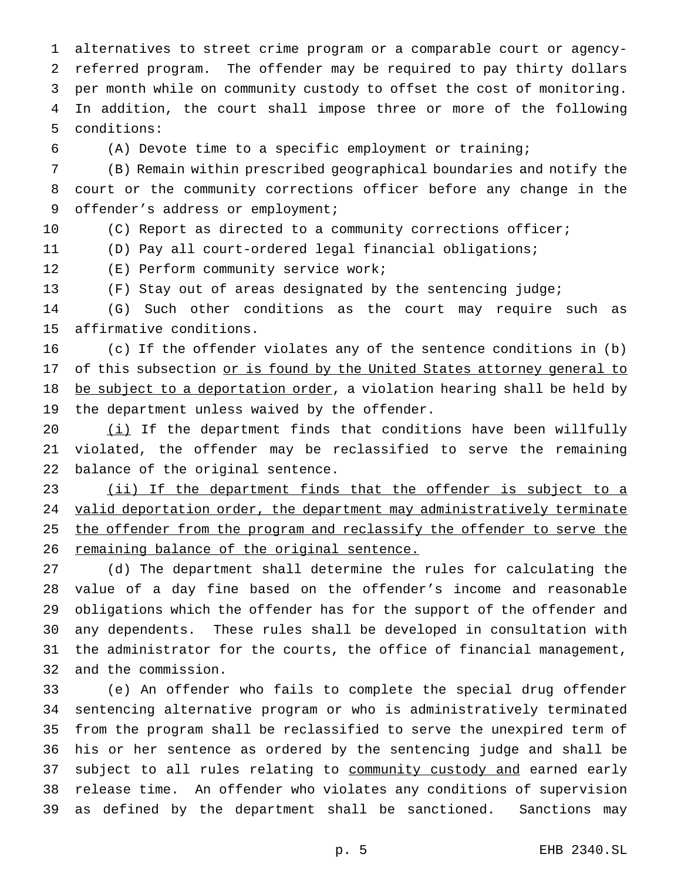alternatives to street crime program or a comparable court or agency- referred program. The offender may be required to pay thirty dollars per month while on community custody to offset the cost of monitoring. In addition, the court shall impose three or more of the following conditions:

(A) Devote time to a specific employment or training;

 (B) Remain within prescribed geographical boundaries and notify the court or the community corrections officer before any change in the 9 offender's address or employment;

(C) Report as directed to a community corrections officer;

(D) Pay all court-ordered legal financial obligations;

(E) Perform community service work;

(F) Stay out of areas designated by the sentencing judge;

 (G) Such other conditions as the court may require such as affirmative conditions.

 (c) If the offender violates any of the sentence conditions in (b) 17 of this subsection or is found by the United States attorney general to 18 be subject to a deportation order, a violation hearing shall be held by the department unless waived by the offender.

20 (i) If the department finds that conditions have been willfully violated, the offender may be reclassified to serve the remaining balance of the original sentence.

 (ii) If the department finds that the offender is subject to a 24 valid deportation order, the department may administratively terminate 25 the offender from the program and reclassify the offender to serve the 26 remaining balance of the original sentence.

 (d) The department shall determine the rules for calculating the value of a day fine based on the offender's income and reasonable obligations which the offender has for the support of the offender and any dependents. These rules shall be developed in consultation with the administrator for the courts, the office of financial management, and the commission.

 (e) An offender who fails to complete the special drug offender sentencing alternative program or who is administratively terminated from the program shall be reclassified to serve the unexpired term of his or her sentence as ordered by the sentencing judge and shall be 37 subject to all rules relating to community custody and earned early release time. An offender who violates any conditions of supervision as defined by the department shall be sanctioned. Sanctions may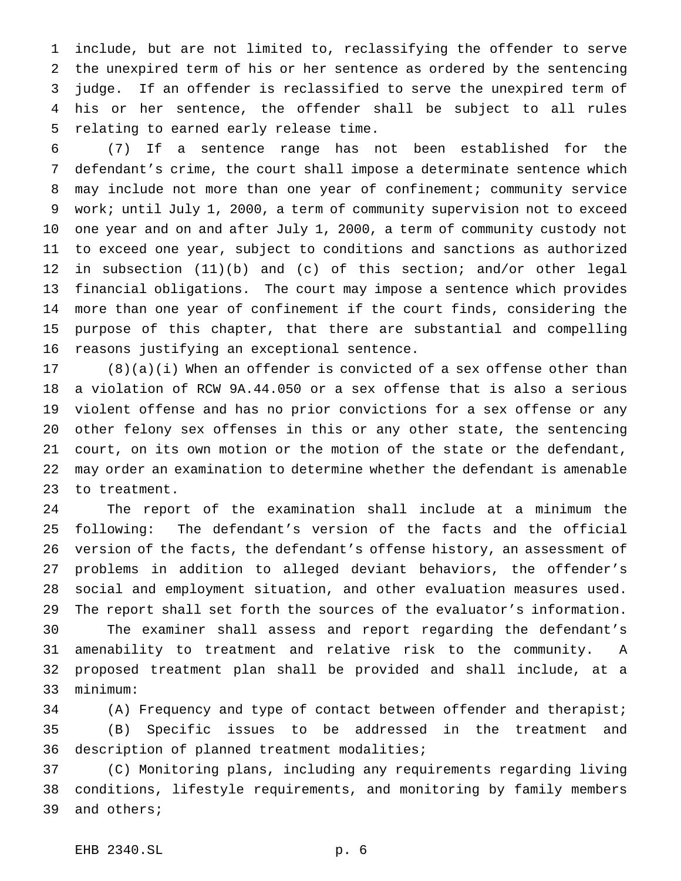include, but are not limited to, reclassifying the offender to serve the unexpired term of his or her sentence as ordered by the sentencing judge. If an offender is reclassified to serve the unexpired term of his or her sentence, the offender shall be subject to all rules relating to earned early release time.

 (7) If a sentence range has not been established for the defendant's crime, the court shall impose a determinate sentence which may include not more than one year of confinement; community service work; until July 1, 2000, a term of community supervision not to exceed one year and on and after July 1, 2000, a term of community custody not to exceed one year, subject to conditions and sanctions as authorized in subsection (11)(b) and (c) of this section; and/or other legal financial obligations. The court may impose a sentence which provides more than one year of confinement if the court finds, considering the purpose of this chapter, that there are substantial and compelling reasons justifying an exceptional sentence.

 (8)(a)(i) When an offender is convicted of a sex offense other than a violation of RCW 9A.44.050 or a sex offense that is also a serious violent offense and has no prior convictions for a sex offense or any other felony sex offenses in this or any other state, the sentencing court, on its own motion or the motion of the state or the defendant, may order an examination to determine whether the defendant is amenable to treatment.

 The report of the examination shall include at a minimum the following: The defendant's version of the facts and the official version of the facts, the defendant's offense history, an assessment of problems in addition to alleged deviant behaviors, the offender's social and employment situation, and other evaluation measures used. The report shall set forth the sources of the evaluator's information. The examiner shall assess and report regarding the defendant's amenability to treatment and relative risk to the community. A proposed treatment plan shall be provided and shall include, at a minimum:

 (A) Frequency and type of contact between offender and therapist; (B) Specific issues to be addressed in the treatment and description of planned treatment modalities;

 (C) Monitoring plans, including any requirements regarding living conditions, lifestyle requirements, and monitoring by family members and others;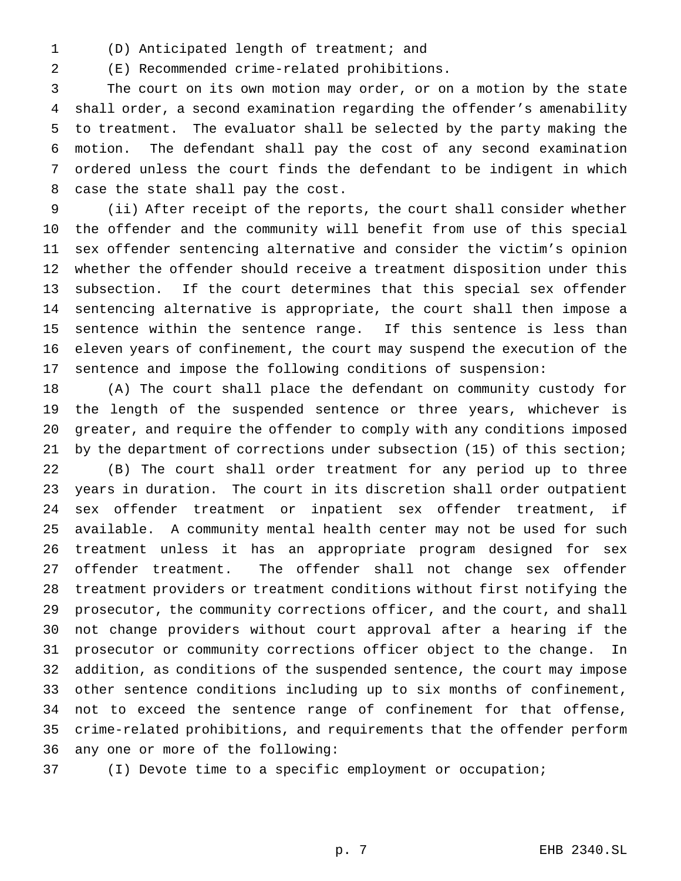(D) Anticipated length of treatment; and

(E) Recommended crime-related prohibitions.

 The court on its own motion may order, or on a motion by the state shall order, a second examination regarding the offender's amenability to treatment. The evaluator shall be selected by the party making the motion. The defendant shall pay the cost of any second examination ordered unless the court finds the defendant to be indigent in which case the state shall pay the cost.

 (ii) After receipt of the reports, the court shall consider whether the offender and the community will benefit from use of this special sex offender sentencing alternative and consider the victim's opinion whether the offender should receive a treatment disposition under this subsection. If the court determines that this special sex offender sentencing alternative is appropriate, the court shall then impose a sentence within the sentence range. If this sentence is less than eleven years of confinement, the court may suspend the execution of the sentence and impose the following conditions of suspension:

 (A) The court shall place the defendant on community custody for the length of the suspended sentence or three years, whichever is greater, and require the offender to comply with any conditions imposed by the department of corrections under subsection (15) of this section; (B) The court shall order treatment for any period up to three years in duration. The court in its discretion shall order outpatient sex offender treatment or inpatient sex offender treatment, if available. A community mental health center may not be used for such treatment unless it has an appropriate program designed for sex offender treatment. The offender shall not change sex offender treatment providers or treatment conditions without first notifying the prosecutor, the community corrections officer, and the court, and shall not change providers without court approval after a hearing if the prosecutor or community corrections officer object to the change. In addition, as conditions of the suspended sentence, the court may impose other sentence conditions including up to six months of confinement, not to exceed the sentence range of confinement for that offense, crime-related prohibitions, and requirements that the offender perform any one or more of the following:

(I) Devote time to a specific employment or occupation;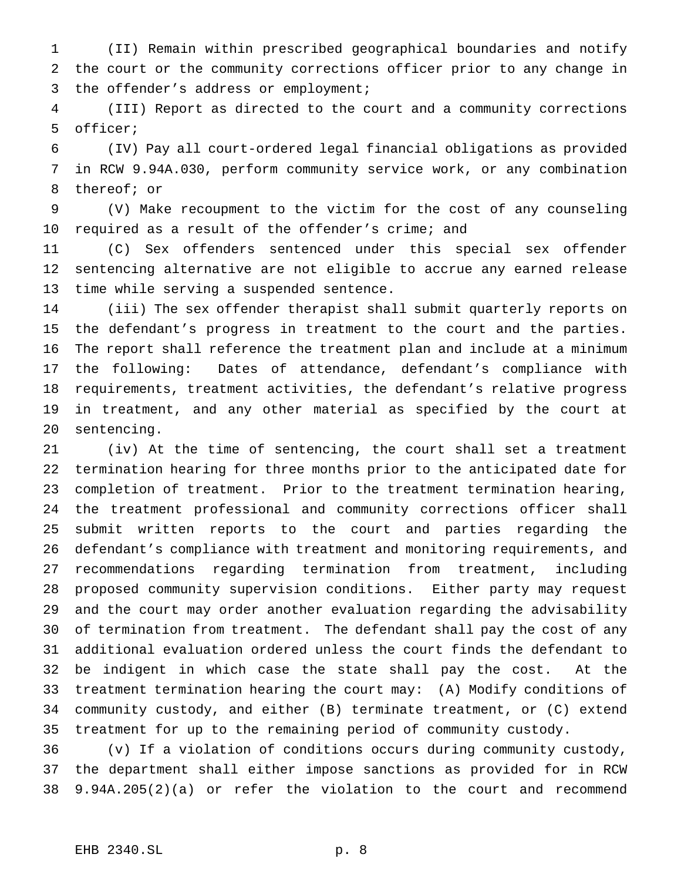(II) Remain within prescribed geographical boundaries and notify the court or the community corrections officer prior to any change in the offender's address or employment;

 (III) Report as directed to the court and a community corrections officer;

 (IV) Pay all court-ordered legal financial obligations as provided in RCW 9.94A.030, perform community service work, or any combination thereof; or

 (V) Make recoupment to the victim for the cost of any counseling required as a result of the offender's crime; and

 (C) Sex offenders sentenced under this special sex offender sentencing alternative are not eligible to accrue any earned release time while serving a suspended sentence.

 (iii) The sex offender therapist shall submit quarterly reports on the defendant's progress in treatment to the court and the parties. The report shall reference the treatment plan and include at a minimum the following: Dates of attendance, defendant's compliance with requirements, treatment activities, the defendant's relative progress in treatment, and any other material as specified by the court at sentencing.

 (iv) At the time of sentencing, the court shall set a treatment termination hearing for three months prior to the anticipated date for completion of treatment. Prior to the treatment termination hearing, the treatment professional and community corrections officer shall submit written reports to the court and parties regarding the defendant's compliance with treatment and monitoring requirements, and recommendations regarding termination from treatment, including proposed community supervision conditions. Either party may request and the court may order another evaluation regarding the advisability of termination from treatment. The defendant shall pay the cost of any additional evaluation ordered unless the court finds the defendant to be indigent in which case the state shall pay the cost. At the treatment termination hearing the court may: (A) Modify conditions of community custody, and either (B) terminate treatment, or (C) extend treatment for up to the remaining period of community custody.

 (v) If a violation of conditions occurs during community custody, the department shall either impose sanctions as provided for in RCW 9.94A.205(2)(a) or refer the violation to the court and recommend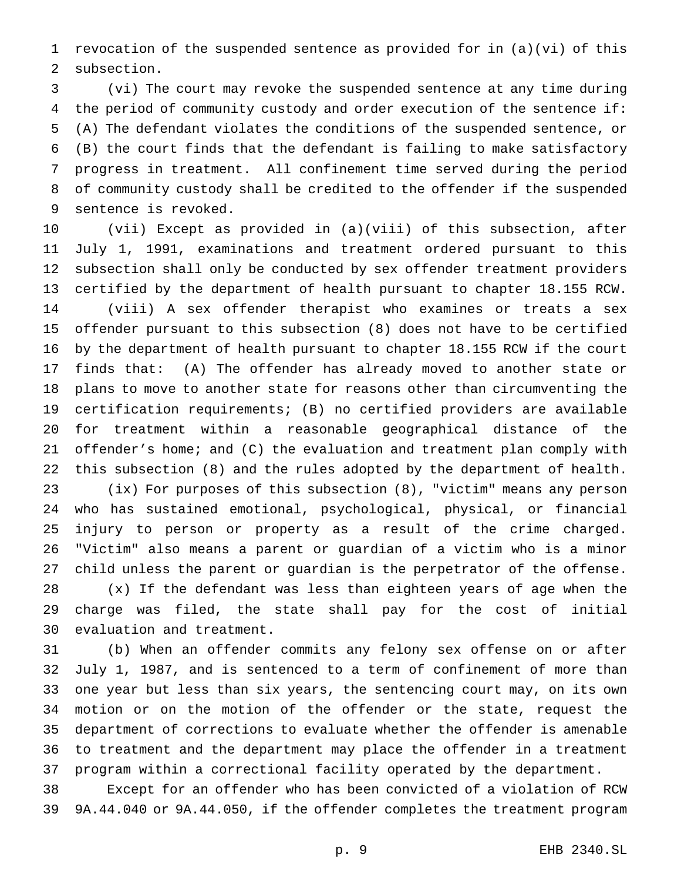revocation of the suspended sentence as provided for in (a)(vi) of this subsection.

 (vi) The court may revoke the suspended sentence at any time during the period of community custody and order execution of the sentence if: (A) The defendant violates the conditions of the suspended sentence, or (B) the court finds that the defendant is failing to make satisfactory progress in treatment. All confinement time served during the period of community custody shall be credited to the offender if the suspended sentence is revoked.

 (vii) Except as provided in (a)(viii) of this subsection, after July 1, 1991, examinations and treatment ordered pursuant to this subsection shall only be conducted by sex offender treatment providers certified by the department of health pursuant to chapter 18.155 RCW. (viii) A sex offender therapist who examines or treats a sex offender pursuant to this subsection (8) does not have to be certified by the department of health pursuant to chapter 18.155 RCW if the court finds that: (A) The offender has already moved to another state or plans to move to another state for reasons other than circumventing the certification requirements; (B) no certified providers are available for treatment within a reasonable geographical distance of the offender's home; and (C) the evaluation and treatment plan comply with this subsection (8) and the rules adopted by the department of health. (ix) For purposes of this subsection (8), "victim" means any person who has sustained emotional, psychological, physical, or financial

 injury to person or property as a result of the crime charged. "Victim" also means a parent or guardian of a victim who is a minor child unless the parent or guardian is the perpetrator of the offense. (x) If the defendant was less than eighteen years of age when the charge was filed, the state shall pay for the cost of initial evaluation and treatment.

 (b) When an offender commits any felony sex offense on or after July 1, 1987, and is sentenced to a term of confinement of more than one year but less than six years, the sentencing court may, on its own motion or on the motion of the offender or the state, request the department of corrections to evaluate whether the offender is amenable to treatment and the department may place the offender in a treatment program within a correctional facility operated by the department.

 Except for an offender who has been convicted of a violation of RCW 9A.44.040 or 9A.44.050, if the offender completes the treatment program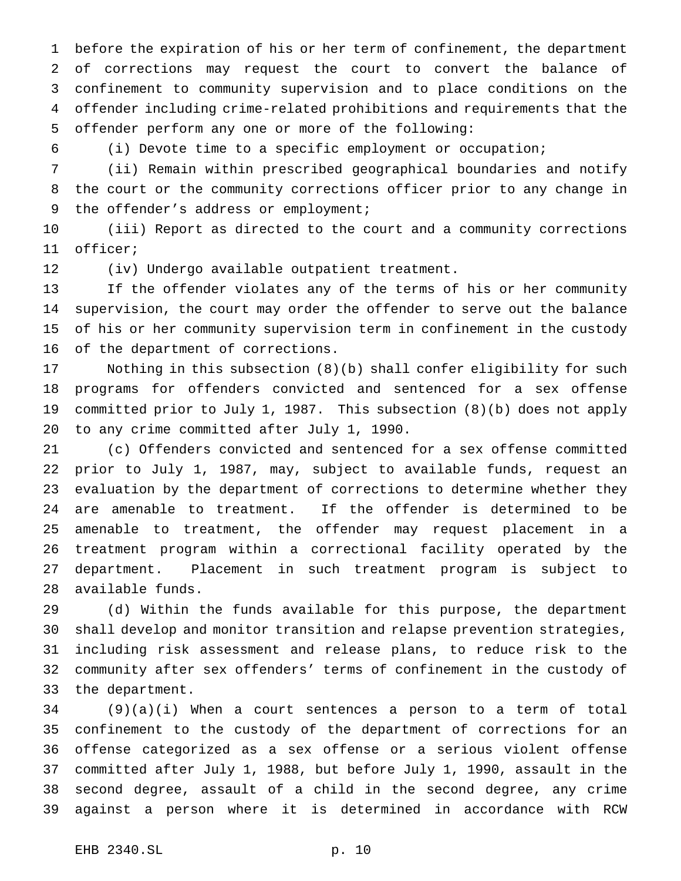before the expiration of his or her term of confinement, the department of corrections may request the court to convert the balance of confinement to community supervision and to place conditions on the offender including crime-related prohibitions and requirements that the offender perform any one or more of the following:

(i) Devote time to a specific employment or occupation;

 (ii) Remain within prescribed geographical boundaries and notify the court or the community corrections officer prior to any change in 9 the offender's address or employment;

 (iii) Report as directed to the court and a community corrections officer;

(iv) Undergo available outpatient treatment.

 If the offender violates any of the terms of his or her community supervision, the court may order the offender to serve out the balance of his or her community supervision term in confinement in the custody of the department of corrections.

 Nothing in this subsection (8)(b) shall confer eligibility for such programs for offenders convicted and sentenced for a sex offense committed prior to July 1, 1987. This subsection (8)(b) does not apply to any crime committed after July 1, 1990.

 (c) Offenders convicted and sentenced for a sex offense committed prior to July 1, 1987, may, subject to available funds, request an evaluation by the department of corrections to determine whether they are amenable to treatment. If the offender is determined to be amenable to treatment, the offender may request placement in a treatment program within a correctional facility operated by the department. Placement in such treatment program is subject to available funds.

 (d) Within the funds available for this purpose, the department shall develop and monitor transition and relapse prevention strategies, including risk assessment and release plans, to reduce risk to the community after sex offenders' terms of confinement in the custody of the department.

 (9)(a)(i) When a court sentences a person to a term of total confinement to the custody of the department of corrections for an offense categorized as a sex offense or a serious violent offense committed after July 1, 1988, but before July 1, 1990, assault in the second degree, assault of a child in the second degree, any crime against a person where it is determined in accordance with RCW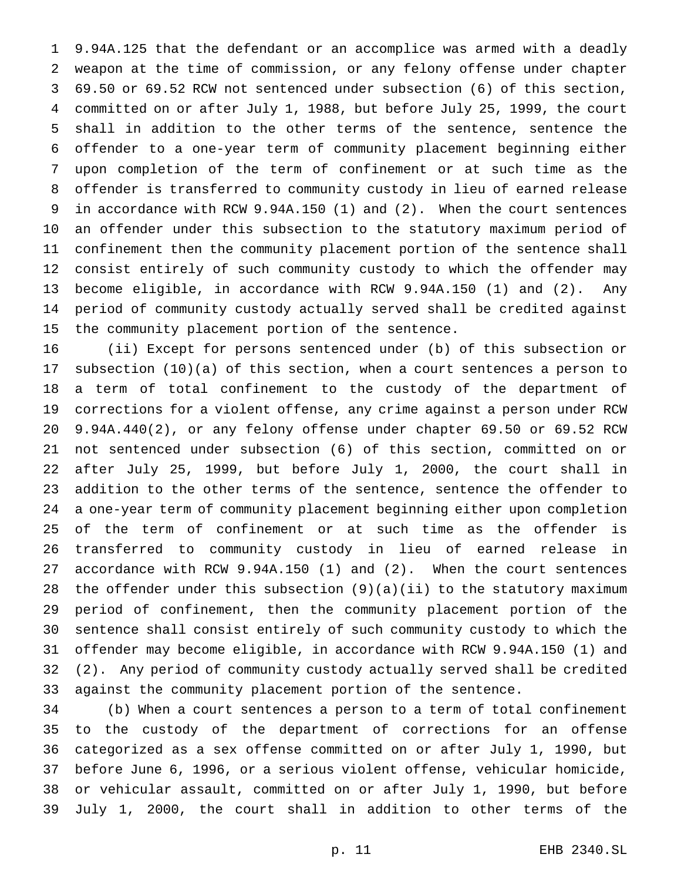9.94A.125 that the defendant or an accomplice was armed with a deadly weapon at the time of commission, or any felony offense under chapter 69.50 or 69.52 RCW not sentenced under subsection (6) of this section, committed on or after July 1, 1988, but before July 25, 1999, the court shall in addition to the other terms of the sentence, sentence the offender to a one-year term of community placement beginning either upon completion of the term of confinement or at such time as the offender is transferred to community custody in lieu of earned release in accordance with RCW 9.94A.150 (1) and (2). When the court sentences an offender under this subsection to the statutory maximum period of confinement then the community placement portion of the sentence shall consist entirely of such community custody to which the offender may become eligible, in accordance with RCW 9.94A.150 (1) and (2). Any period of community custody actually served shall be credited against the community placement portion of the sentence.

 (ii) Except for persons sentenced under (b) of this subsection or subsection (10)(a) of this section, when a court sentences a person to a term of total confinement to the custody of the department of corrections for a violent offense, any crime against a person under RCW 9.94A.440(2), or any felony offense under chapter 69.50 or 69.52 RCW not sentenced under subsection (6) of this section, committed on or after July 25, 1999, but before July 1, 2000, the court shall in addition to the other terms of the sentence, sentence the offender to a one-year term of community placement beginning either upon completion of the term of confinement or at such time as the offender is transferred to community custody in lieu of earned release in accordance with RCW 9.94A.150 (1) and (2). When the court sentences the offender under this subsection (9)(a)(ii) to the statutory maximum period of confinement, then the community placement portion of the sentence shall consist entirely of such community custody to which the offender may become eligible, in accordance with RCW 9.94A.150 (1) and (2). Any period of community custody actually served shall be credited against the community placement portion of the sentence.

 (b) When a court sentences a person to a term of total confinement to the custody of the department of corrections for an offense categorized as a sex offense committed on or after July 1, 1990, but before June 6, 1996, or a serious violent offense, vehicular homicide, or vehicular assault, committed on or after July 1, 1990, but before July 1, 2000, the court shall in addition to other terms of the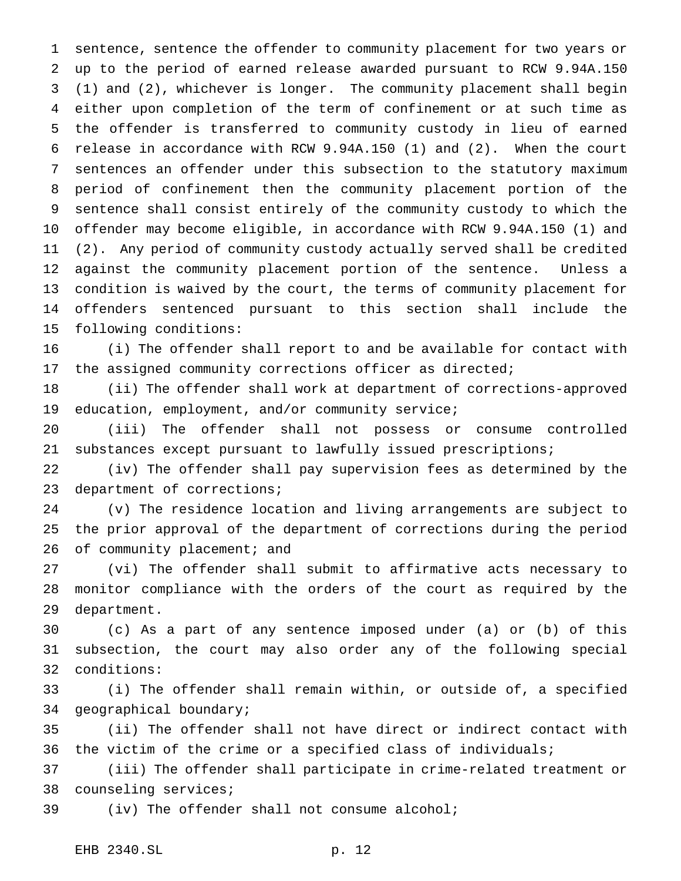sentence, sentence the offender to community placement for two years or up to the period of earned release awarded pursuant to RCW 9.94A.150 (1) and (2), whichever is longer. The community placement shall begin either upon completion of the term of confinement or at such time as the offender is transferred to community custody in lieu of earned release in accordance with RCW 9.94A.150 (1) and (2). When the court sentences an offender under this subsection to the statutory maximum period of confinement then the community placement portion of the sentence shall consist entirely of the community custody to which the offender may become eligible, in accordance with RCW 9.94A.150 (1) and (2). Any period of community custody actually served shall be credited against the community placement portion of the sentence. Unless a condition is waived by the court, the terms of community placement for offenders sentenced pursuant to this section shall include the following conditions:

 (i) The offender shall report to and be available for contact with the assigned community corrections officer as directed;

 (ii) The offender shall work at department of corrections-approved education, employment, and/or community service;

 (iii) The offender shall not possess or consume controlled substances except pursuant to lawfully issued prescriptions;

 (iv) The offender shall pay supervision fees as determined by the department of corrections;

 (v) The residence location and living arrangements are subject to the prior approval of the department of corrections during the period 26 of community placement; and

 (vi) The offender shall submit to affirmative acts necessary to monitor compliance with the orders of the court as required by the department.

 (c) As a part of any sentence imposed under (a) or (b) of this subsection, the court may also order any of the following special conditions:

 (i) The offender shall remain within, or outside of, a specified geographical boundary;

 (ii) The offender shall not have direct or indirect contact with the victim of the crime or a specified class of individuals;

 (iii) The offender shall participate in crime-related treatment or counseling services;

(iv) The offender shall not consume alcohol;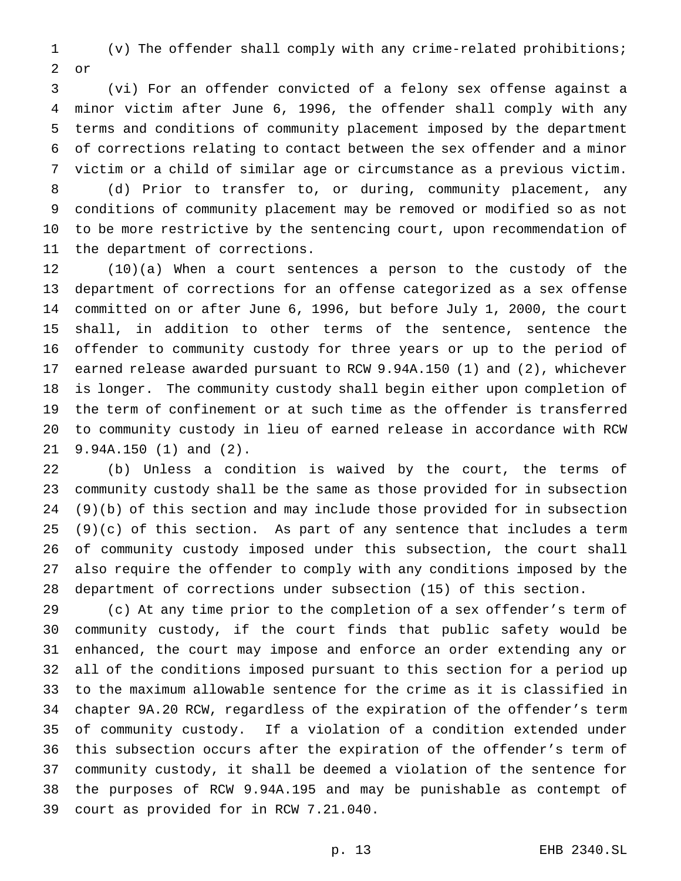(v) The offender shall comply with any crime-related prohibitions; or

 (vi) For an offender convicted of a felony sex offense against a minor victim after June 6, 1996, the offender shall comply with any terms and conditions of community placement imposed by the department of corrections relating to contact between the sex offender and a minor victim or a child of similar age or circumstance as a previous victim.

 (d) Prior to transfer to, or during, community placement, any conditions of community placement may be removed or modified so as not to be more restrictive by the sentencing court, upon recommendation of the department of corrections.

 (10)(a) When a court sentences a person to the custody of the department of corrections for an offense categorized as a sex offense committed on or after June 6, 1996, but before July 1, 2000, the court shall, in addition to other terms of the sentence, sentence the offender to community custody for three years or up to the period of earned release awarded pursuant to RCW 9.94A.150 (1) and (2), whichever is longer. The community custody shall begin either upon completion of the term of confinement or at such time as the offender is transferred to community custody in lieu of earned release in accordance with RCW 9.94A.150 (1) and (2).

 (b) Unless a condition is waived by the court, the terms of community custody shall be the same as those provided for in subsection (9)(b) of this section and may include those provided for in subsection (9)(c) of this section. As part of any sentence that includes a term of community custody imposed under this subsection, the court shall also require the offender to comply with any conditions imposed by the department of corrections under subsection (15) of this section.

 (c) At any time prior to the completion of a sex offender's term of community custody, if the court finds that public safety would be enhanced, the court may impose and enforce an order extending any or all of the conditions imposed pursuant to this section for a period up to the maximum allowable sentence for the crime as it is classified in chapter 9A.20 RCW, regardless of the expiration of the offender's term of community custody. If a violation of a condition extended under this subsection occurs after the expiration of the offender's term of community custody, it shall be deemed a violation of the sentence for the purposes of RCW 9.94A.195 and may be punishable as contempt of court as provided for in RCW 7.21.040.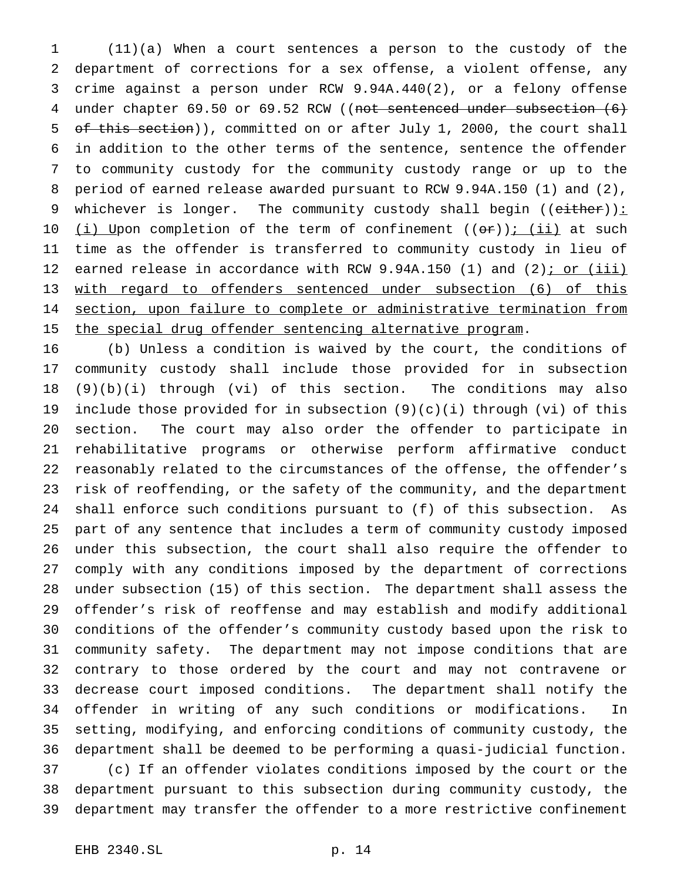(11)(a) When a court sentences a person to the custody of the department of corrections for a sex offense, a violent offense, any crime against a person under RCW 9.94A.440(2), or a felony offense 4 under chapter 69.50 or 69.52 RCW ((not sentenced under subsection (6) 5 of this section)), committed on or after July 1, 2000, the court shall in addition to the other terms of the sentence, sentence the offender to community custody for the community custody range or up to the period of earned release awarded pursuant to RCW 9.94A.150 (1) and (2), 9 whichever is longer. The community custody shall begin (( $e$ ither)):  $(i)$  Upon completion of the term of confinement  $((or))$ ;  $(ii)$  at such time as the offender is transferred to community custody in lieu of 12 earned release in accordance with RCW 9.94A.150 (1) and (2); or (iii) with regard to offenders sentenced under subsection (6) of this section, upon failure to complete or administrative termination from 15 the special drug offender sentencing alternative program.

 (b) Unless a condition is waived by the court, the conditions of community custody shall include those provided for in subsection (9)(b)(i) through (vi) of this section. The conditions may also include those provided for in subsection (9)(c)(i) through (vi) of this section. The court may also order the offender to participate in rehabilitative programs or otherwise perform affirmative conduct reasonably related to the circumstances of the offense, the offender's risk of reoffending, or the safety of the community, and the department shall enforce such conditions pursuant to (f) of this subsection. As part of any sentence that includes a term of community custody imposed under this subsection, the court shall also require the offender to comply with any conditions imposed by the department of corrections under subsection (15) of this section. The department shall assess the offender's risk of reoffense and may establish and modify additional conditions of the offender's community custody based upon the risk to community safety. The department may not impose conditions that are contrary to those ordered by the court and may not contravene or decrease court imposed conditions. The department shall notify the offender in writing of any such conditions or modifications. In setting, modifying, and enforcing conditions of community custody, the department shall be deemed to be performing a quasi-judicial function. (c) If an offender violates conditions imposed by the court or the department pursuant to this subsection during community custody, the department may transfer the offender to a more restrictive confinement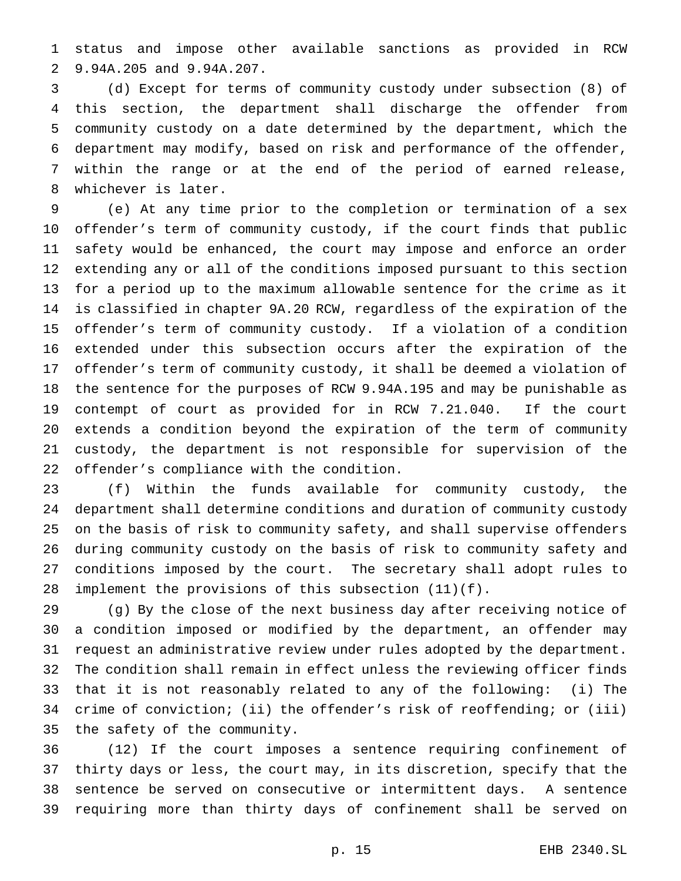status and impose other available sanctions as provided in RCW 9.94A.205 and 9.94A.207.

 (d) Except for terms of community custody under subsection (8) of this section, the department shall discharge the offender from community custody on a date determined by the department, which the department may modify, based on risk and performance of the offender, within the range or at the end of the period of earned release, whichever is later.

 (e) At any time prior to the completion or termination of a sex offender's term of community custody, if the court finds that public safety would be enhanced, the court may impose and enforce an order extending any or all of the conditions imposed pursuant to this section for a period up to the maximum allowable sentence for the crime as it is classified in chapter 9A.20 RCW, regardless of the expiration of the offender's term of community custody. If a violation of a condition extended under this subsection occurs after the expiration of the offender's term of community custody, it shall be deemed a violation of the sentence for the purposes of RCW 9.94A.195 and may be punishable as contempt of court as provided for in RCW 7.21.040. If the court extends a condition beyond the expiration of the term of community custody, the department is not responsible for supervision of the offender's compliance with the condition.

 (f) Within the funds available for community custody, the department shall determine conditions and duration of community custody on the basis of risk to community safety, and shall supervise offenders during community custody on the basis of risk to community safety and conditions imposed by the court. The secretary shall adopt rules to implement the provisions of this subsection (11)(f).

 (g) By the close of the next business day after receiving notice of a condition imposed or modified by the department, an offender may request an administrative review under rules adopted by the department. The condition shall remain in effect unless the reviewing officer finds that it is not reasonably related to any of the following: (i) The crime of conviction; (ii) the offender's risk of reoffending; or (iii) the safety of the community.

 (12) If the court imposes a sentence requiring confinement of thirty days or less, the court may, in its discretion, specify that the sentence be served on consecutive or intermittent days. A sentence requiring more than thirty days of confinement shall be served on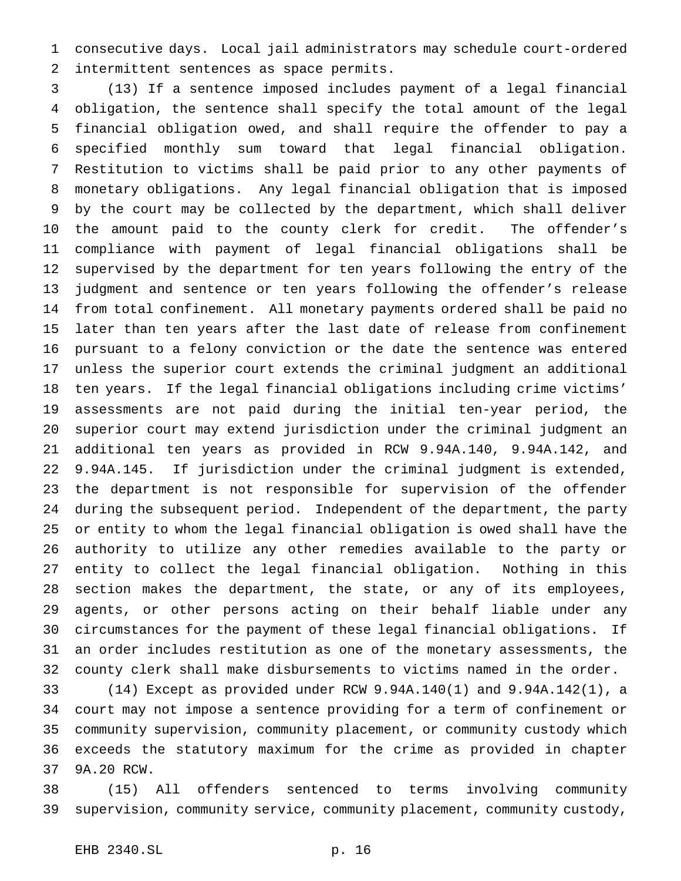consecutive days. Local jail administrators may schedule court-ordered intermittent sentences as space permits.

 (13) If a sentence imposed includes payment of a legal financial obligation, the sentence shall specify the total amount of the legal financial obligation owed, and shall require the offender to pay a specified monthly sum toward that legal financial obligation. Restitution to victims shall be paid prior to any other payments of monetary obligations. Any legal financial obligation that is imposed by the court may be collected by the department, which shall deliver the amount paid to the county clerk for credit. The offender's compliance with payment of legal financial obligations shall be supervised by the department for ten years following the entry of the judgment and sentence or ten years following the offender's release from total confinement. All monetary payments ordered shall be paid no later than ten years after the last date of release from confinement pursuant to a felony conviction or the date the sentence was entered unless the superior court extends the criminal judgment an additional ten years. If the legal financial obligations including crime victims' assessments are not paid during the initial ten-year period, the superior court may extend jurisdiction under the criminal judgment an additional ten years as provided in RCW 9.94A.140, 9.94A.142, and 9.94A.145. If jurisdiction under the criminal judgment is extended, the department is not responsible for supervision of the offender during the subsequent period. Independent of the department, the party or entity to whom the legal financial obligation is owed shall have the authority to utilize any other remedies available to the party or entity to collect the legal financial obligation. Nothing in this section makes the department, the state, or any of its employees, agents, or other persons acting on their behalf liable under any circumstances for the payment of these legal financial obligations. If an order includes restitution as one of the monetary assessments, the county clerk shall make disbursements to victims named in the order.

 (14) Except as provided under RCW 9.94A.140(1) and 9.94A.142(1), a court may not impose a sentence providing for a term of confinement or community supervision, community placement, or community custody which exceeds the statutory maximum for the crime as provided in chapter 9A.20 RCW.

 (15) All offenders sentenced to terms involving community supervision, community service, community placement, community custody,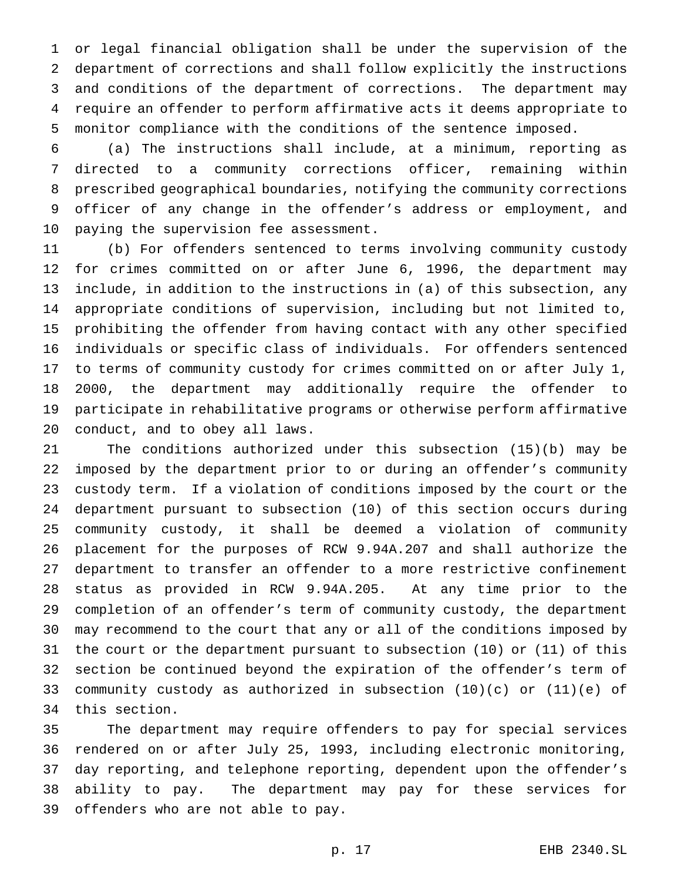or legal financial obligation shall be under the supervision of the department of corrections and shall follow explicitly the instructions and conditions of the department of corrections. The department may require an offender to perform affirmative acts it deems appropriate to monitor compliance with the conditions of the sentence imposed.

 (a) The instructions shall include, at a minimum, reporting as directed to a community corrections officer, remaining within prescribed geographical boundaries, notifying the community corrections officer of any change in the offender's address or employment, and paying the supervision fee assessment.

 (b) For offenders sentenced to terms involving community custody for crimes committed on or after June 6, 1996, the department may include, in addition to the instructions in (a) of this subsection, any appropriate conditions of supervision, including but not limited to, prohibiting the offender from having contact with any other specified individuals or specific class of individuals. For offenders sentenced to terms of community custody for crimes committed on or after July 1, 2000, the department may additionally require the offender to participate in rehabilitative programs or otherwise perform affirmative conduct, and to obey all laws.

 The conditions authorized under this subsection (15)(b) may be imposed by the department prior to or during an offender's community custody term. If a violation of conditions imposed by the court or the department pursuant to subsection (10) of this section occurs during community custody, it shall be deemed a violation of community placement for the purposes of RCW 9.94A.207 and shall authorize the department to transfer an offender to a more restrictive confinement status as provided in RCW 9.94A.205. At any time prior to the completion of an offender's term of community custody, the department may recommend to the court that any or all of the conditions imposed by the court or the department pursuant to subsection (10) or (11) of this section be continued beyond the expiration of the offender's term of 33 community custody as authorized in subsection  $(10)(c)$  or  $(11)(e)$  of this section.

 The department may require offenders to pay for special services rendered on or after July 25, 1993, including electronic monitoring, day reporting, and telephone reporting, dependent upon the offender's ability to pay. The department may pay for these services for offenders who are not able to pay.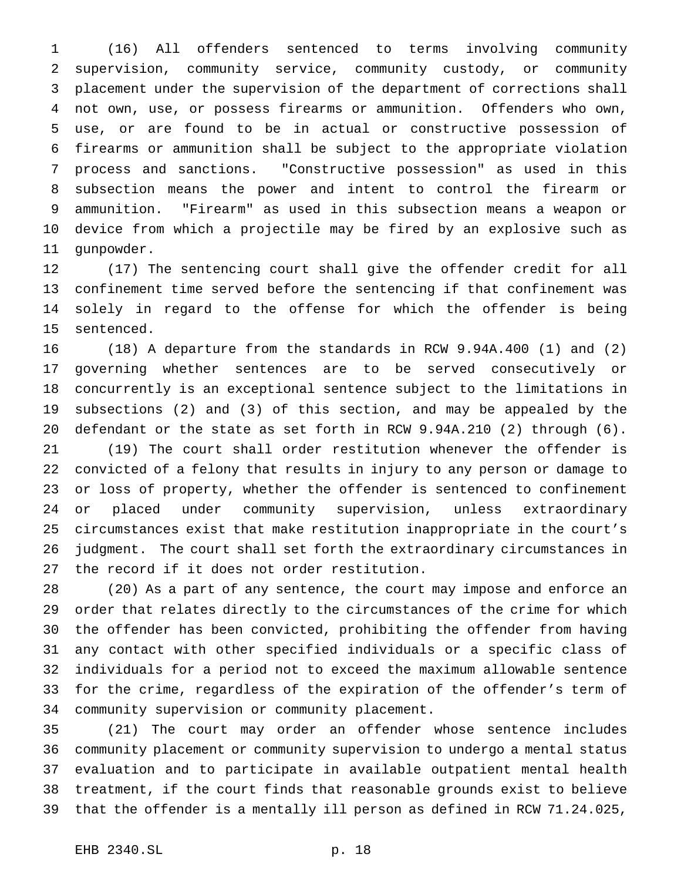(16) All offenders sentenced to terms involving community supervision, community service, community custody, or community placement under the supervision of the department of corrections shall not own, use, or possess firearms or ammunition. Offenders who own, use, or are found to be in actual or constructive possession of firearms or ammunition shall be subject to the appropriate violation process and sanctions. "Constructive possession" as used in this subsection means the power and intent to control the firearm or ammunition. "Firearm" as used in this subsection means a weapon or device from which a projectile may be fired by an explosive such as gunpowder.

 (17) The sentencing court shall give the offender credit for all confinement time served before the sentencing if that confinement was solely in regard to the offense for which the offender is being sentenced.

 (18) A departure from the standards in RCW 9.94A.400 (1) and (2) governing whether sentences are to be served consecutively or concurrently is an exceptional sentence subject to the limitations in subsections (2) and (3) of this section, and may be appealed by the defendant or the state as set forth in RCW 9.94A.210 (2) through (6).

 (19) The court shall order restitution whenever the offender is convicted of a felony that results in injury to any person or damage to or loss of property, whether the offender is sentenced to confinement or placed under community supervision, unless extraordinary circumstances exist that make restitution inappropriate in the court's judgment. The court shall set forth the extraordinary circumstances in the record if it does not order restitution.

 (20) As a part of any sentence, the court may impose and enforce an order that relates directly to the circumstances of the crime for which the offender has been convicted, prohibiting the offender from having any contact with other specified individuals or a specific class of individuals for a period not to exceed the maximum allowable sentence for the crime, regardless of the expiration of the offender's term of community supervision or community placement.

 (21) The court may order an offender whose sentence includes community placement or community supervision to undergo a mental status evaluation and to participate in available outpatient mental health treatment, if the court finds that reasonable grounds exist to believe that the offender is a mentally ill person as defined in RCW 71.24.025,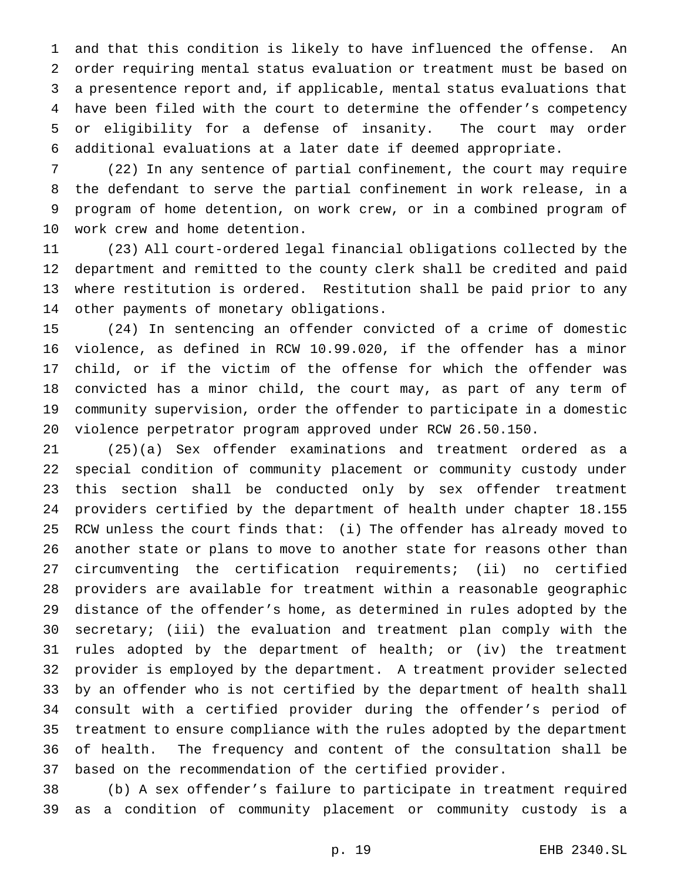and that this condition is likely to have influenced the offense. An order requiring mental status evaluation or treatment must be based on a presentence report and, if applicable, mental status evaluations that have been filed with the court to determine the offender's competency or eligibility for a defense of insanity. The court may order additional evaluations at a later date if deemed appropriate.

 (22) In any sentence of partial confinement, the court may require the defendant to serve the partial confinement in work release, in a program of home detention, on work crew, or in a combined program of work crew and home detention.

 (23) All court-ordered legal financial obligations collected by the department and remitted to the county clerk shall be credited and paid where restitution is ordered. Restitution shall be paid prior to any other payments of monetary obligations.

 (24) In sentencing an offender convicted of a crime of domestic violence, as defined in RCW 10.99.020, if the offender has a minor child, or if the victim of the offense for which the offender was convicted has a minor child, the court may, as part of any term of community supervision, order the offender to participate in a domestic violence perpetrator program approved under RCW 26.50.150.

 (25)(a) Sex offender examinations and treatment ordered as a special condition of community placement or community custody under this section shall be conducted only by sex offender treatment providers certified by the department of health under chapter 18.155 RCW unless the court finds that: (i) The offender has already moved to another state or plans to move to another state for reasons other than circumventing the certification requirements; (ii) no certified providers are available for treatment within a reasonable geographic distance of the offender's home, as determined in rules adopted by the secretary; (iii) the evaluation and treatment plan comply with the rules adopted by the department of health; or (iv) the treatment provider is employed by the department. A treatment provider selected by an offender who is not certified by the department of health shall consult with a certified provider during the offender's period of treatment to ensure compliance with the rules adopted by the department of health. The frequency and content of the consultation shall be based on the recommendation of the certified provider.

 (b) A sex offender's failure to participate in treatment required as a condition of community placement or community custody is a